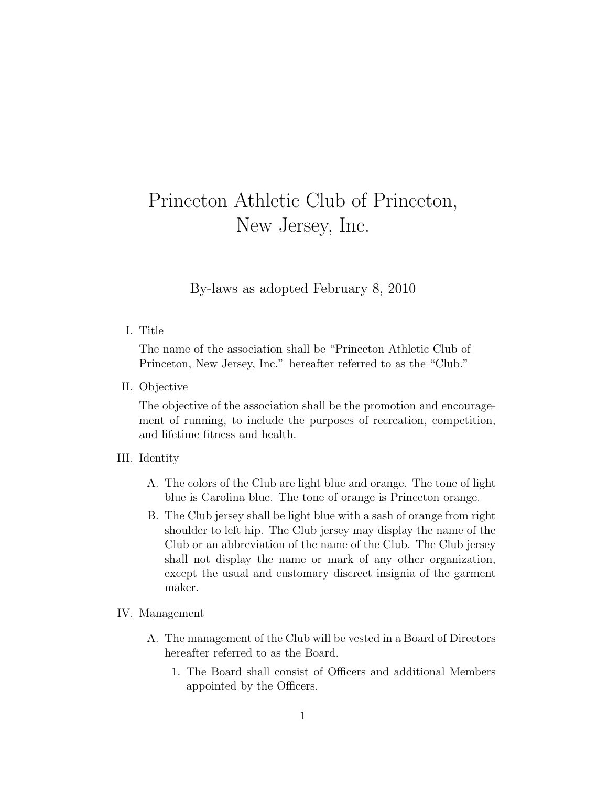# Princeton Athletic Club of Princeton, New Jersey, Inc.

By-laws as adopted February 8, 2010

### I. Title

The name of the association shall be "Princeton Athletic Club of Princeton, New Jersey, Inc." hereafter referred to as the "Club."

II. Objective

The objective of the association shall be the promotion and encouragement of running, to include the purposes of recreation, competition, and lifetime fitness and health.

#### III. Identity

- A. The colors of the Club are light blue and orange. The tone of light blue is Carolina blue. The tone of orange is Princeton orange.
- B. The Club jersey shall be light blue with a sash of orange from right shoulder to left hip. The Club jersey may display the name of the Club or an abbreviation of the name of the Club. The Club jersey shall not display the name or mark of any other organization, except the usual and customary discreet insignia of the garment maker.

#### IV. Management

- A. The management of the Club will be vested in a Board of Directors hereafter referred to as the Board.
	- 1. The Board shall consist of Officers and additional Members appointed by the Officers.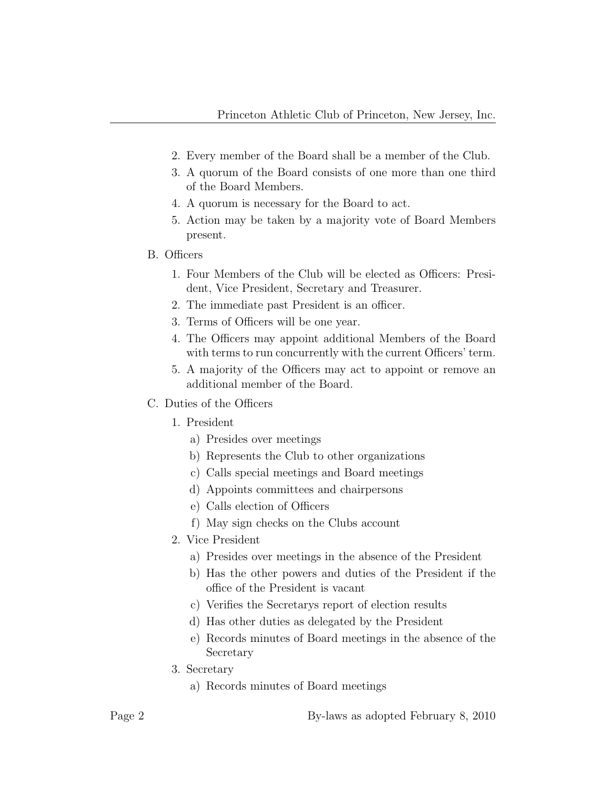- 2. Every member of the Board shall be a member of the Club.
- 3. A quorum of the Board consists of one more than one third of the Board Members.
- 4. A quorum is necessary for the Board to act.
- 5. Action may be taken by a majority vote of Board Members present.
- B. Officers
	- 1. Four Members of the Club will be elected as Officers: President, Vice President, Secretary and Treasurer.
	- 2. The immediate past President is an officer.
	- 3. Terms of Officers will be one year.
	- 4. The Officers may appoint additional Members of the Board with terms to run concurrently with the current Officers' term.
	- 5. A majority of the Officers may act to appoint or remove an additional member of the Board.
- C. Duties of the Officers
	- 1. President
		- a) Presides over meetings
		- b) Represents the Club to other organizations
		- c) Calls special meetings and Board meetings
		- d) Appoints committees and chairpersons
		- e) Calls election of Officers
		- f) May sign checks on the Clubs account
	- 2. Vice President
		- a) Presides over meetings in the absence of the President
		- b) Has the other powers and duties of the President if the office of the President is vacant
		- c) Verifies the Secretarys report of election results
		- d) Has other duties as delegated by the President
		- e) Records minutes of Board meetings in the absence of the Secretary
	- 3. Secretary
		- a) Records minutes of Board meetings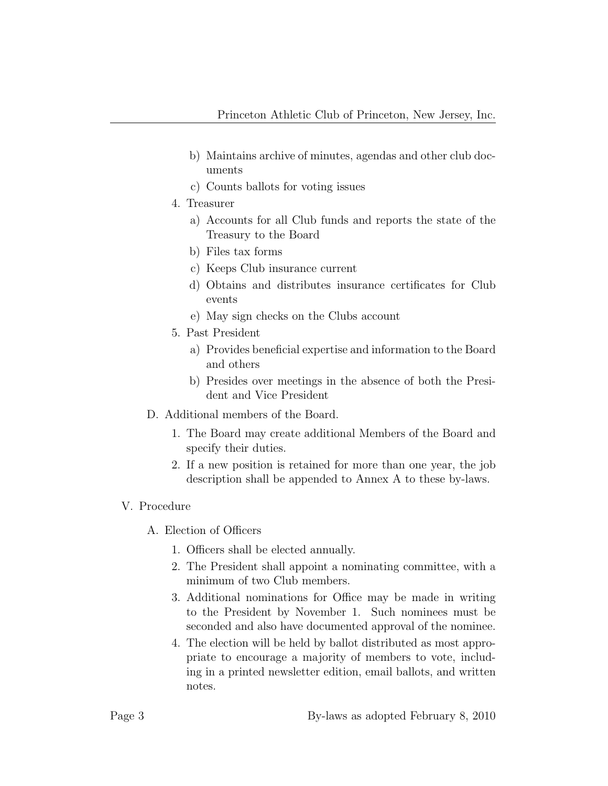- b) Maintains archive of minutes, agendas and other club documents
- c) Counts ballots for voting issues
- 4. Treasurer
	- a) Accounts for all Club funds and reports the state of the Treasury to the Board
	- b) Files tax forms
	- c) Keeps Club insurance current
	- d) Obtains and distributes insurance certificates for Club events
	- e) May sign checks on the Clubs account
- 5. Past President
	- a) Provides beneficial expertise and information to the Board and others
	- b) Presides over meetings in the absence of both the President and Vice President
- D. Additional members of the Board.
	- 1. The Board may create additional Members of the Board and specify their duties.
	- 2. If a new position is retained for more than one year, the job description shall be appended to Annex A to these by-laws.

## V. Procedure

- A. Election of Officers
	- 1. Officers shall be elected annually.
	- 2. The President shall appoint a nominating committee, with a minimum of two Club members.
	- 3. Additional nominations for Office may be made in writing to the President by November 1. Such nominees must be seconded and also have documented approval of the nominee.
	- 4. The election will be held by ballot distributed as most appropriate to encourage a majority of members to vote, including in a printed newsletter edition, email ballots, and written notes.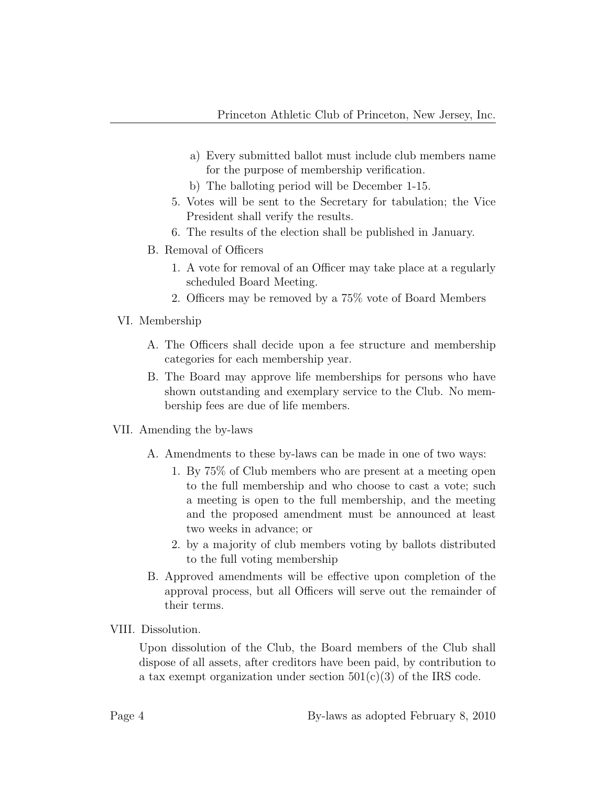- a) Every submitted ballot must include club members name for the purpose of membership verification.
- b) The balloting period will be December 1-15.
- 5. Votes will be sent to the Secretary for tabulation; the Vice President shall verify the results.
- 6. The results of the election shall be published in January.
- B. Removal of Officers
	- 1. A vote for removal of an Officer may take place at a regularly scheduled Board Meeting.
	- 2. Officers may be removed by a 75% vote of Board Members
- VI. Membership
	- A. The Officers shall decide upon a fee structure and membership categories for each membership year.
	- B. The Board may approve life memberships for persons who have shown outstanding and exemplary service to the Club. No membership fees are due of life members.
- VII. Amending the by-laws
	- A. Amendments to these by-laws can be made in one of two ways:
		- 1. By 75% of Club members who are present at a meeting open to the full membership and who choose to cast a vote; such a meeting is open to the full membership, and the meeting and the proposed amendment must be announced at least two weeks in advance; or
		- 2. by a majority of club members voting by ballots distributed to the full voting membership
	- B. Approved amendments will be effective upon completion of the approval process, but all Officers will serve out the remainder of their terms.
- VIII. Dissolution.

Upon dissolution of the Club, the Board members of the Club shall dispose of all assets, after creditors have been paid, by contribution to a tax exempt organization under section  $501(c)(3)$  of the IRS code.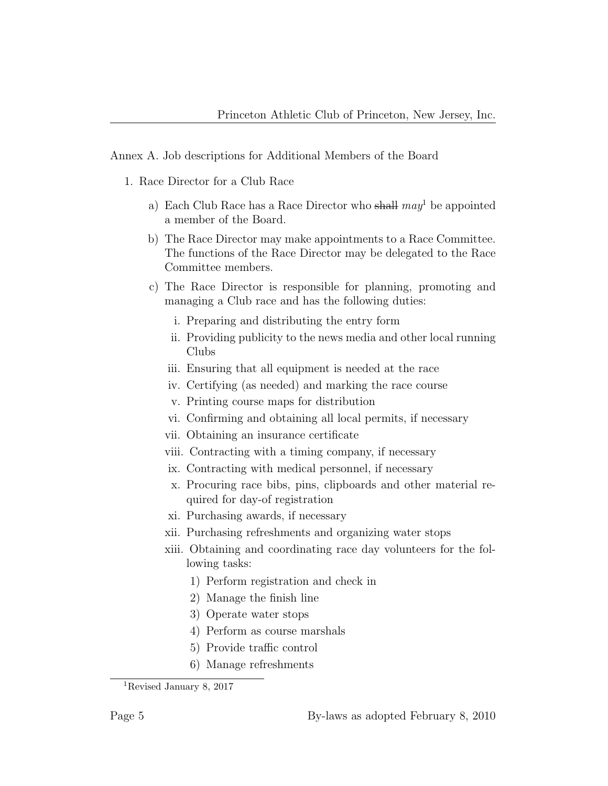Annex A. Job descriptions for Additional Members of the Board

- 1. Race Director for a Club Race
	- a) Each Club Race has a Race Director who shall  $may^1$  be appointed a member of the Board.
	- b) The Race Director may make appointments to a Race Committee. The functions of the Race Director may be delegated to the Race Committee members.
	- c) The Race Director is responsible for planning, promoting and managing a Club race and has the following duties:
		- i. Preparing and distributing the entry form
		- ii. Providing publicity to the news media and other local running Clubs
		- iii. Ensuring that all equipment is needed at the race
		- iv. Certifying (as needed) and marking the race course
		- v. Printing course maps for distribution
		- vi. Confirming and obtaining all local permits, if necessary
		- vii. Obtaining an insurance certificate
		- viii. Contracting with a timing company, if necessary
		- ix. Contracting with medical personnel, if necessary
		- x. Procuring race bibs, pins, clipboards and other material required for day-of registration
		- xi. Purchasing awards, if necessary
		- xii. Purchasing refreshments and organizing water stops
		- xiii. Obtaining and coordinating race day volunteers for the following tasks:
			- 1) Perform registration and check in
			- 2) Manage the finish line
			- 3) Operate water stops
			- 4) Perform as course marshals
			- 5) Provide traffic control
			- 6) Manage refreshments

<sup>1</sup>Revised January 8, 2017